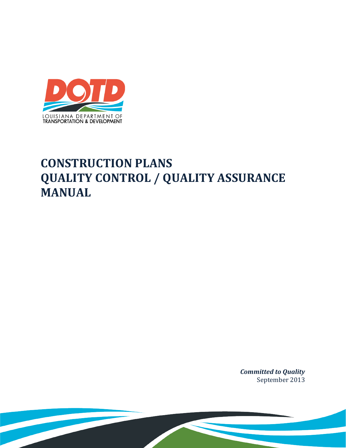

# **CONSTRUCTION PLANS QUALITY CONTROL / QUALITY ASSURANCE MANUAL**

*Committed to Quality* September 2013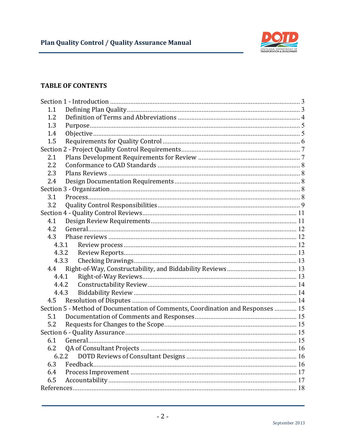

## **TABLE OF CONTENTS**

| 1.1   |                                                                                 |  |
|-------|---------------------------------------------------------------------------------|--|
| 1.2   |                                                                                 |  |
| 1.3   |                                                                                 |  |
| 1.4   |                                                                                 |  |
| 1.5   |                                                                                 |  |
|       |                                                                                 |  |
| 2.1   |                                                                                 |  |
| 2.2   |                                                                                 |  |
| 2.3   |                                                                                 |  |
| 2.4   |                                                                                 |  |
|       |                                                                                 |  |
| 3.1   |                                                                                 |  |
| 3.2   |                                                                                 |  |
|       |                                                                                 |  |
| 4.1   |                                                                                 |  |
| 4.2   |                                                                                 |  |
| 4.3   |                                                                                 |  |
| 4.3.1 |                                                                                 |  |
| 4.3.2 |                                                                                 |  |
| 4.3.3 |                                                                                 |  |
| 4.4   |                                                                                 |  |
| 4.4.1 |                                                                                 |  |
| 4.4.2 |                                                                                 |  |
| 4.4.3 |                                                                                 |  |
| 4.5   |                                                                                 |  |
|       | Section 5 - Method of Documentation of Comments, Coordination and Responses  15 |  |
| 5.1   |                                                                                 |  |
| 5.2   |                                                                                 |  |
|       |                                                                                 |  |
| 6.1   |                                                                                 |  |
| 6.2   |                                                                                 |  |
|       | 6.2.2                                                                           |  |
| 6.3   |                                                                                 |  |
| 6.4   |                                                                                 |  |
| 6.5   |                                                                                 |  |
|       |                                                                                 |  |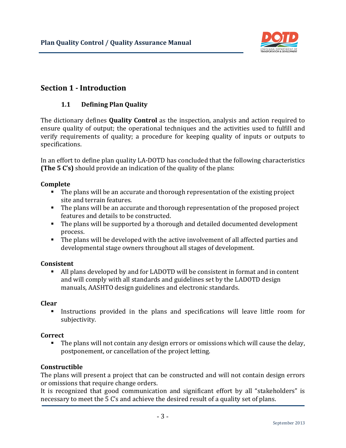

# <span id="page-2-1"></span><span id="page-2-0"></span>**Section 1 - Introduction**

#### **1.1 Defining Plan Quality**

The dictionary defines **Quality Control** as the inspection, analysis and action required to ensure quality of output; the operational techniques and the activities used to fulfill and verify requirements of quality; a procedure for keeping quality of inputs or outputs to specifications.

In an effort to define plan quality LA-DOTD has concluded that the following characteristics **(The 5 C's)** should provide an indication of the quality of the plans:

#### **Complete**

- The plans will be an accurate and thorough representation of the existing project site and terrain features.
- **The plans will be an accurate and thorough representation of the proposed project** features and details to be constructed.
- The plans will be supported by a thorough and detailed documented development process.
- The plans will be developed with the active involvement of all affected parties and developmental stage owners throughout all stages of development.

#### **Consistent**

 All plans developed by and for LADOTD will be consistent in format and in content and will comply with all standards and guidelines set by the LADOTD design manuals, AASHTO design guidelines and electronic standards.

#### **Clear**

 Instructions provided in the plans and specifications will leave little room for subjectivity.

#### **Correct**

 The plans will not contain any design errors or omissions which will cause the delay, postponement, or cancellation of the project letting.

#### **Constructible**

The plans will present a project that can be constructed and will not contain design errors or omissions that require change orders.

It is recognized that good communication and significant effort by all "stakeholders" is necessary to meet the 5 C's and achieve the desired result of a quality set of plans.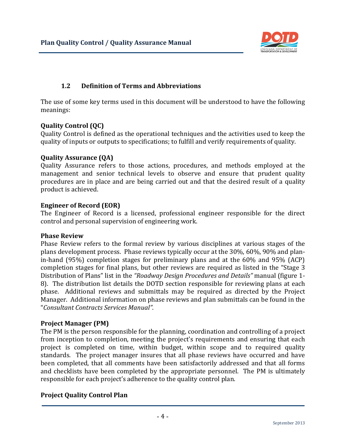

#### **1.2 Definition of Terms and Abbreviations**

<span id="page-3-0"></span>The use of some key terms used in this document will be understood to have the following meanings:

#### **Quality Control (QC)**

Quality Control is defined as the operational techniques and the activities used to keep the quality of inputs or outputs to specifications; to fulfill and verify requirements of quality.

#### **Quality Assurance (QA)**

Quality Assurance refers to those actions, procedures, and methods employed at the management and senior technical levels to observe and ensure that prudent quality procedures are in place and are being carried out and that the desired result of a quality product is achieved.

#### **Engineer of Record (EOR)**

The Engineer of Record is a licensed, professional engineer responsible for the direct control and personal supervision of engineering work.

#### **Phase Review**

Phase Review refers to the formal review by various disciplines at various stages of the plans development process. Phase reviews typically occur at the 30%, 60%, 90% and planin-hand (95%) completion stages for preliminary plans and at the 60% and 95% (ACP) completion stages for final plans, but other reviews are required as listed in the "Stage 3 Distribution of Plans" list in the *"Roadway Design Procedures and Details"* manual (figure 1- 8). The distribution list details the DOTD section responsible for reviewing plans at each phase. Additional reviews and submittals may be required as directed by the Project Manager. Additional information on phase reviews and plan submittals can be found in the "*Consultant Contracts Services Manual"*.

#### **Project Manager (PM)**

The PM is the person responsible for the planning, coordination and controlling of a project from inception to completion, meeting the project's requirements and ensuring that each project is completed on time, within budget, within scope and to required quality standards. The project manager insures that all phase reviews have occurred and have been completed, that all comments have been satisfactorily addressed and that all forms and checklists have been completed by the appropriate personnel. The PM is ultimately responsible for each project's adherence to the quality control plan.

#### **Project Quality Control Plan**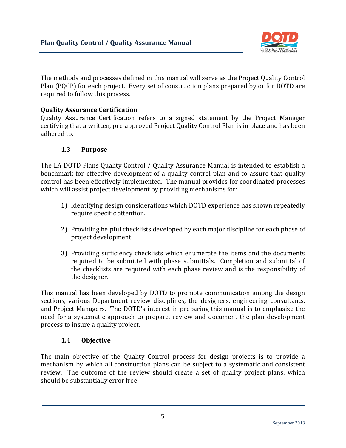

The methods and processes defined in this manual will serve as the Project Quality Control Plan (PQCP) for each project. Every set of construction plans prepared by or for DOTD are required to follow this process.

#### **Quality Assurance Certification**

Quality Assurance Certification refers to a signed statement by the Project Manager certifying that a written, pre-approved Project Quality Control Plan is in place and has been adhered to.

#### **1.3 Purpose**

<span id="page-4-0"></span>The LA DOTD Plans Quality Control / Quality Assurance Manual is intended to establish a benchmark for effective development of a quality control plan and to assure that quality control has been effectively implemented. The manual provides for coordinated processes which will assist project development by providing mechanisms for:

- 1) Identifying design considerations which DOTD experience has shown repeatedly require specific attention.
- 2) Providing helpful checklists developed by each major discipline for each phase of project development.
- 3) Providing sufficiency checklists which enumerate the items and the documents required to be submitted with phase submittals. Completion and submittal of the checklists are required with each phase review and is the responsibility of the designer.

This manual has been developed by DOTD to promote communication among the design sections, various Department review disciplines, the designers, engineering consultants, and Project Managers. The DOTD's interest in preparing this manual is to emphasize the need for a systematic approach to prepare, review and document the plan development process to insure a quality project.

#### **1.4 Objective**

<span id="page-4-1"></span>The main objective of the Quality Control process for design projects is to provide a mechanism by which all construction plans can be subject to a systematic and consistent review. The outcome of the review should create a set of quality project plans, which should be substantially error free.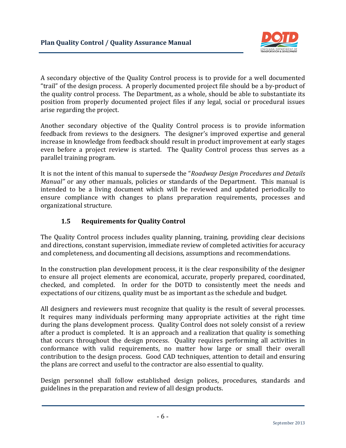

A secondary objective of the Quality Control process is to provide for a well documented "trail" of the design process. A properly documented project file should be a by-product of the quality control process. The Department, as a whole, should be able to substantiate its position from properly documented project files if any legal, social or procedural issues arise regarding the project.

Another secondary objective of the Quality Control process is to provide information feedback from reviews to the designers. The designer's improved expertise and general increase in knowledge from feedback should result in product improvement at early stages even before a project review is started. The Quality Control process thus serves as a parallel training program.

It is not the intent of this manual to supersede the "*Roadway Design Procedures and Details Manual"* or any other manuals, policies or standards of the Department. This manual is intended to be a living document which will be reviewed and updated periodically to ensure compliance with changes to plans preparation requirements, processes and organizational structure.

# **1.5 Requirements for Quality Control**

<span id="page-5-0"></span>The Quality Control process includes quality planning, training, providing clear decisions and directions, constant supervision, immediate review of completed activities for accuracy and completeness, and documenting all decisions, assumptions and recommendations.

In the construction plan development process, it is the clear responsibility of the designer to ensure all project elements are economical, accurate, properly prepared, coordinated, checked, and completed. In order for the DOTD to consistently meet the needs and expectations of our citizens, quality must be as important as the schedule and budget.

All designers and reviewers must recognize that quality is the result of several processes. It requires many individuals performing many appropriate activities at the right time during the plans development process. Quality Control does not solely consist of a review after a product is completed. It is an approach and a realization that quality is something that occurs throughout the design process. Quality requires performing all activities in conformance with valid requirements, no matter how large or small their overall contribution to the design process. Good CAD techniques, attention to detail and ensuring the plans are correct and useful to the contractor are also essential to quality.

Design personnel shall follow established design polices, procedures, standards and guidelines in the preparation and review of all design products.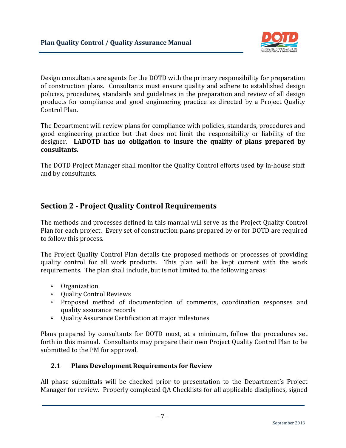

Design consultants are agents for the DOTD with the primary responsibility for preparation of construction plans. Consultants must ensure quality and adhere to established design policies, procedures, standards and guidelines in the preparation and review of all design products for compliance and good engineering practice as directed by a Project Quality Control Plan.

The Department will review plans for compliance with policies, standards, procedures and good engineering practice but that does not limit the responsibility or liability of the designer. **LADOTD has no obligation to insure the quality of plans prepared by consultants.**

The DOTD Project Manager shall monitor the Quality Control efforts used by in-house staff and by consultants.

# <span id="page-6-0"></span>**Section 2 - Project Quality Control Requirements**

The methods and processes defined in this manual will serve as the Project Quality Control Plan for each project. Every set of construction plans prepared by or for DOTD are required to follow this process.

The Project Quality Control Plan details the proposed methods or processes of providing quality control for all work products. This plan will be kept current with the work requirements. The plan shall include, but is not limited to, the following areas:

- <sup>D</sup> Organization
- <sup>D</sup> Quality Control Reviews
- **Proposed method of documentation of comments, coordination responses and** quality assurance records
- Quality Assurance Certification at major milestones

Plans prepared by consultants for DOTD must, at a minimum, follow the procedures set forth in this manual. Consultants may prepare their own Project Quality Control Plan to be submitted to the PM for approval.

#### <span id="page-6-1"></span>**2.1 Plans Development Requirements for Review**

All phase submittals will be checked prior to presentation to the Department's Project Manager for review. Properly completed QA Checklists for all applicable disciplines, signed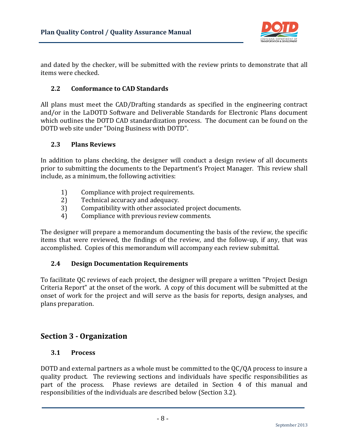

and dated by the checker, will be submitted with the review prints to demonstrate that all items were checked.

#### <span id="page-7-0"></span>**2.2 Conformance to CAD Standards**

All plans must meet the CAD/Drafting standards as specified in the engineering contract and/or in the LaDOTD Software and Deliverable Standards for Electronic Plans document which outlines the DOTD CAD standardization process. The document can be found on the DOTD web site under "Doing Business with DOTD".

#### <span id="page-7-1"></span>**2.3 Plans Reviews**

In addition to plans checking, the designer will conduct a design review of all documents prior to submitting the documents to the Department's Project Manager. This review shall include, as a minimum, the following activities:

- 1) Compliance with project requirements.<br>2) Technical accuracy and adequacy.
- 2) Technical accuracy and adequacy.<br>3) Compatibility with other associate
- 3) Compatibility with other associated project documents.<br>4) Compliance with previous review comments.
- Compliance with previous review comments.

The designer will prepare a memorandum documenting the basis of the review, the specific items that were reviewed, the findings of the review, and the follow-up, if any, that was accomplished. Copies of this memorandum will accompany each review submittal.

#### <span id="page-7-2"></span>**2.4 Design Documentation Requirements**

To facilitate QC reviews of each project, the designer will prepare a written "Project Design Criteria Report" at the onset of the work. A copy of this document will be submitted at the onset of work for the project and will serve as the basis for reports, design analyses, and plans preparation.

# <span id="page-7-3"></span>**Section 3 - Organization**

#### <span id="page-7-4"></span>**3.1 Process**

DOTD and external partners as a whole must be committed to the QC/QA process to insure a quality product. The reviewing sections and individuals have specific responsibilities as part of the process. Phase reviews are detailed in Section 4 of this manual and Phase reviews are detailed in Section 4 of this manual and responsibilities of the individuals are described below (Section 3.2).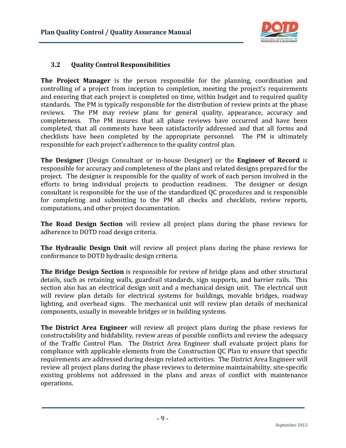

#### <span id="page-8-0"></span>**3.2 Quality Control Responsibilities**

**The Project Manager** is the person responsible for the planning, coordination and controlling of a project from inception to completion, meeting the project's requirements and ensuring that each project is completed on time, within budget and to required quality standards. The PM is typically responsible for the distribution of review prints at the phase reviews. The PM may review plans for general quality, appearance, accuracy and The PM may review plans for general quality, appearance, accuracy and completeness. The PM insures that all phase reviews have occurred and have been completed, that all comments have been satisfactorily addressed and that all forms and checklists have been completed by the appropriate personnel. The PM is ultimately responsible for each project's adherence to the quality control plan.

**The Designer** (Design Consultant or in-house Designer) or the **Engineer of Record** is responsible for accuracy and completeness of the plans and related designs prepared for the project. The designer is responsible for the quality of work of each person involved in the efforts to bring individual projects to production readiness. The designer or design consultant is responsible for the use of the standardized QC procedures and is responsible for completing and submitting to the PM all checks and checklists, review reports, computations, and other project documentation.

**The Road Design Section** will review all project plans during the phase reviews for adherence to DOTD road design criteria.

**The Hydraulic Design Unit** will review all project plans during the phase reviews for conformance to DOTD hydraulic design criteria.

**The Bridge Design Section** is responsible for review of bridge plans and other structural details, such as retaining walls, guardrail standards, sign supports, and barrier rails. This section also has an electrical design unit and a mechanical design unit. The electrical unit will review plan details for electrical systems for buildings, movable bridges, roadway lighting, and overhead signs. The mechanical unit will review plan details of mechanical components, usually in moveable bridges or in building systems.

**The District Area Engineer** will review all project plans during the phase reviews for constructability and biddability, review areas of possible conflicts and review the adequacy of the Traffic Control Plan. The District Area Engineer shall evaluate project plans for compliance with applicable elements from the Construction QC Plan to ensure that specific requirements are addressed during design related activities. The District Area Engineer will review all project plans during the phase reviews to determine maintainability, site-specific existing problems not addressed in the plans and areas of conflict with maintenance operations.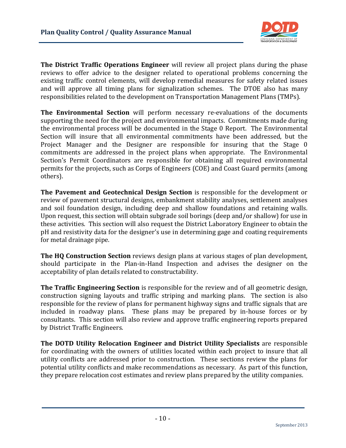

**The District Traffic Operations Engineer** will review all project plans during the phase reviews to offer advice to the designer related to operational problems concerning the existing traffic control elements, will develop remedial measures for safety related issues and will approve all timing plans for signalization schemes. The DTOE also has many responsibilities related to the development on Transportation Management Plans (TMPs).

**The Environmental Section** will perform necessary re-evaluations of the documents supporting the need for the project and environmental impacts. Commitments made during the environmental process will be documented in the Stage 0 Report. The Environmental Section will insure that all environmental commitments have been addressed, but the Project Manager and the Designer are responsible for insuring that the Stage 0 commitments are addressed in the project plans when appropriate. The Environmental Section's Permit Coordinators are responsible for obtaining all required environmental permits for the projects, such as Corps of Engineers (COE) and Coast Guard permits (among others).

**The Pavement and Geotechnical Design Section** is responsible for the development or review of pavement structural designs, embankment stability analyses, settlement analyses and soil foundation design, including deep and shallow foundations and retaining walls. Upon request, this section will obtain subgrade soil borings (deep and/or shallow) for use in these activities. This section will also request the District Laboratory Engineer to obtain the pH and resistivity data for the designer's use in determining gage and coating requirements for metal drainage pipe.

**The HQ Construction Section** reviews design plans at various stages of plan development, should participate in the Plan-in-Hand Inspection and advises the designer on the acceptability of plan details related to constructability.

**The Traffic Engineering Section** is responsible for the review and of all geometric design, construction signing layouts and traffic striping and marking plans. The section is also responsible for the review of plans for permanent highway signs and traffic signals that are included in roadway plans. These plans may be prepared by in-house forces or by consultants. This section will also review and approve traffic engineering reports prepared by District Traffic Engineers.

**The DOTD Utility Relocation Engineer and District Utility Specialists** are responsible for coordinating with the owners of utilities located within each project to insure that all utility conflicts are addressed prior to construction. These sections review the plans for potential utility conflicts and make recommendations as necessary. As part of this function, they prepare relocation cost estimates and review plans prepared by the utility companies.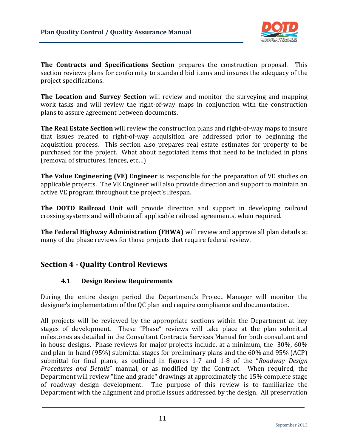

**The Contracts and Specifications Section** prepares the construction proposal. This section reviews plans for conformity to standard bid items and insures the adequacy of the project specifications.

**The Location and Survey Section** will review and monitor the surveying and mapping work tasks and will review the right-of-way maps in conjunction with the construction plans to assure agreement between documents.

**The Real Estate Section** will review the construction plans and right-of-way maps to insure that issues related to right-of-way acquisition are addressed prior to beginning the acquisition process. This section also prepares real estate estimates for property to be purchased for the project. What about negotiated items that need to be included in plans (removal of structures, fences, etc…)

**The Value Engineering (VE) Engineer** is responsible for the preparation of VE studies on applicable projects. The VE Engineer will also provide direction and support to maintain an active VE program throughout the project's lifespan.

**The DOTD Railroad Unit** will provide direction and support in developing railroad crossing systems and will obtain all applicable railroad agreements, when required.

**The Federal Highway Administration (FHWA)** will review and approve all plan details at many of the phase reviews for those projects that require federal review.

# <span id="page-10-1"></span><span id="page-10-0"></span>**Section 4 - Quality Control Reviews**

#### **4.1 Design Review Requirements**

During the entire design period the Department's Project Manager will monitor the designer's implementation of the QC plan and require compliance and documentation.

All projects will be reviewed by the appropriate sections within the Department at key stages of development. These "Phase" reviews will take place at the plan submittal milestones as detailed in the Consultant Contracts Services Manual for both consultant and in-house designs. Phase reviews for major projects include, at a minimum, the 30%, 60% and plan-in-hand (95%) submittal stages for preliminary plans and the 60% and 95% (ACP) submittal for final plans, as outlined in figures 1-7 and 1-8 of the "*Roadway Design Procedures and Details*" manual, or as modified by the Contract. When required, the Department will review "line and grade" drawings at approximately the 15% complete stage of roadway design development. The purpose of this review is to familiarize the Department with the alignment and profile issues addressed by the design. All preservation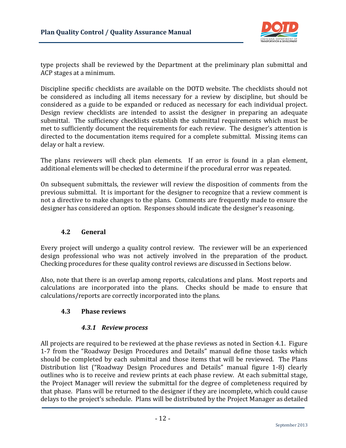

type projects shall be reviewed by the Department at the preliminary plan submittal and ACP stages at a minimum.

Discipline specific checklists are available on the DOTD website. The checklists should not be considered as including all items necessary for a review by discipline, but should be considered as a guide to be expanded or reduced as necessary for each individual project. Design review checklists are intended to assist the designer in preparing an adequate submittal. The sufficiency checklists establish the submittal requirements which must be met to sufficiently document the requirements for each review. The designer's attention is directed to the documentation items required for a complete submittal. Missing items can delay or halt a review.

The plans reviewers will check plan elements. If an error is found in a plan element, additional elements will be checked to determine if the procedural error was repeated.

On subsequent submittals, the reviewer will review the disposition of comments from the previous submittal. It is important for the designer to recognize that a review comment is not a directive to make changes to the plans. Comments are frequently made to ensure the designer has considered an option. Responses should indicate the designer's reasoning.

#### **4.2 General**

<span id="page-11-0"></span>Every project will undergo a quality control review. The reviewer will be an experienced design professional who was not actively involved in the preparation of the product. Checking procedures for these quality control reviews are discussed in Sections below.

Also, note that there is an overlap among reports, calculations and plans. Most reports and calculations are incorporated into the plans. Checks should be made to ensure that calculations/reports are correctly incorporated into the plans.

#### <span id="page-11-1"></span>**4.3 Phase reviews**

#### *4.3.1 Review process*

<span id="page-11-2"></span>All projects are required to be reviewed at the phase reviews as noted in Section 4.1. Figure 1-7 from the "Roadway Design Procedures and Details" manual define those tasks which should be completed by each submittal and those items that will be reviewed. The Plans Distribution list ("Roadway Design Procedures and Details" manual figure 1-8) clearly outlines who is to receive and review prints at each phase review. At each submittal stage, the Project Manager will review the submittal for the degree of completeness required by that phase. Plans will be returned to the designer if they are incomplete, which could cause delays to the project's schedule. Plans will be distributed by the Project Manager as detailed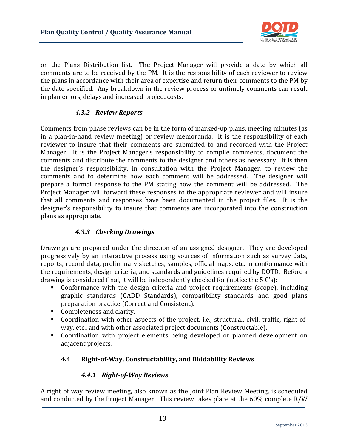

on the Plans Distribution list. The Project Manager will provide a date by which all comments are to be received by the PM. It is the responsibility of each reviewer to review the plans in accordance with their area of expertise and return their comments to the PM by the date specified. Any breakdown in the review process or untimely comments can result in plan errors, delays and increased project costs.

#### *4.3.2 Review Reports*

<span id="page-12-0"></span>Comments from phase reviews can be in the form of marked-up plans, meeting minutes (as in a plan-in-hand review meeting) or review memoranda. It is the responsibility of each reviewer to insure that their comments are submitted to and recorded with the Project Manager. It is the Project Manager's responsibility to compile comments, document the comments and distribute the comments to the designer and others as necessary. It is then the designer's responsibility, in consultation with the Project Manager, to review the comments and to determine how each comment will be addressed. The designer will prepare a formal response to the PM stating how the comment will be addressed. The Project Manager will forward these responses to the appropriate reviewer and will insure that all comments and responses have been documented in the project files. It is the designer's responsibility to insure that comments are incorporated into the construction plans as appropriate.

#### *4.3.3 Checking Drawings*

<span id="page-12-1"></span>Drawings are prepared under the direction of an assigned designer. They are developed progressively by an interactive process using sources of information such as survey data, reports, record data, preliminary sketches, samples, official maps, etc, in conformance with the requirements, design criteria, and standards and guidelines required by DOTD. Before a drawing is considered final, it will be independently checked for (notice the 5 C's):

- Conformance with the design criteria and project requirements (scope), including graphic standards (CADD Standards), compatibility standards and good plans preparation practice (Correct and Consistent).
- **Completeness and clarity.**
- Coordination with other aspects of the project, i.e., structural, civil, traffic, right-ofway, etc., and with other associated project documents (Constructable).
- Coordination with project elements being developed or planned development on adjacent projects.

#### <span id="page-12-2"></span>**4.4 Right-of-Way, Constructability, and Biddability Reviews**

#### *4.4.1 Right-of-Way Reviews*

<span id="page-12-3"></span>A right of way review meeting, also known as the Joint Plan Review Meeting, is scheduled and conducted by the Project Manager. This review takes place at the 60% complete R/W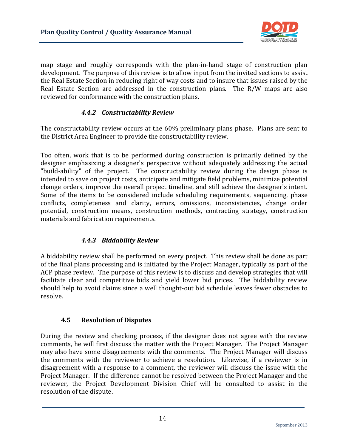

map stage and roughly corresponds with the plan-in-hand stage of construction plan development. The purpose of this review is to allow input from the invited sections to assist the Real Estate Section in reducing right of way costs and to insure that issues raised by the Real Estate Section are addressed in the construction plans. The R/W maps are also reviewed for conformance with the construction plans.

#### *4.4.2 Constructability Review*

<span id="page-13-0"></span>The constructability review occurs at the 60% preliminary plans phase. Plans are sent to the District Area Engineer to provide the constructability review.

Too often, work that is to be performed during construction is primarily defined by the designer emphasizing a designer's perspective without adequately addressing the actual "build-ability" of the project. The constructability review during the design phase is intended to save on project costs, anticipate and mitigate field problems, minimize potential change orders, improve the overall project timeline, and still achieve the designer's intent. Some of the items to be considered include scheduling requirements, sequencing, phase conflicts, completeness and clarity, errors, omissions, inconsistencies, change order potential, construction means, construction methods, contracting strategy, construction materials and fabrication requirements.

#### *4.4.3 Biddability Review*

<span id="page-13-1"></span>A biddability review shall be performed on every project. This review shall be done as part of the final plans processing and is initiated by the Project Manager, typically as part of the ACP phase review. The purpose of this review is to discuss and develop strategies that will facilitate clear and competitive bids and yield lower bid prices. The biddability review should help to avoid claims since a well thought-out bid schedule leaves fewer obstacles to resolve.

#### **4.5 Resolution of Disputes**

<span id="page-13-2"></span>During the review and checking process, if the designer does not agree with the review comments, he will first discuss the matter with the Project Manager. The Project Manager may also have some disagreements with the comments. The Project Manager will discuss the comments with the reviewer to achieve a resolution. Likewise, if a reviewer is in disagreement with a response to a comment, the reviewer will discuss the issue with the Project Manager. If the difference cannot be resolved between the Project Manager and the reviewer, the Project Development Division Chief will be consulted to assist in the resolution of the dispute.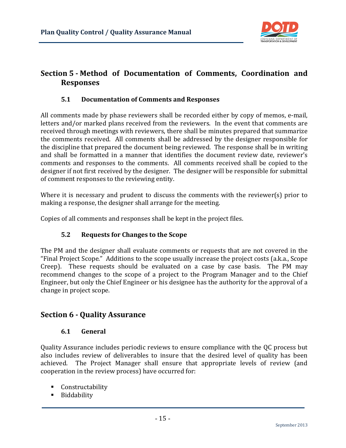

# <span id="page-14-0"></span>**Section 5 - Method of Documentation of Comments, Coordination and Responses**

#### **5.1 Documentation of Comments and Responses**

<span id="page-14-1"></span>All comments made by phase reviewers shall be recorded either by copy of memos, e-mail, letters and/or marked plans received from the reviewers. In the event that comments are received through meetings with reviewers, there shall be minutes prepared that summarize the comments received. All comments shall be addressed by the designer responsible for the discipline that prepared the document being reviewed. The response shall be in writing and shall be formatted in a manner that identifies the document review date, reviewer's comments and responses to the comments. All comments received shall be copied to the designer if not first received by the designer. The designer will be responsible for submittal of comment responses to the reviewing entity.

Where it is necessary and prudent to discuss the comments with the reviewer(s) prior to making a response, the designer shall arrange for the meeting.

<span id="page-14-2"></span>Copies of all comments and responses shall be kept in the project files.

#### **5.2 Requests for Changes to the Scope**

The PM and the designer shall evaluate comments or requests that are not covered in the "Final Project Scope." Additions to the scope usually increase the project costs (a.k.a., Scope Creep). These requests should be evaluated on a case by case basis. The PM may recommend changes to the scope of a project to the Program Manager and to the Chief Engineer, but only the Chief Engineer or his designee has the authority for the approval of a change in project scope.

# <span id="page-14-3"></span>**Section 6 - Quality Assurance**

#### **6.1 General**

<span id="page-14-4"></span>Quality Assurance includes periodic reviews to ensure compliance with the QC process but also includes review of deliverables to insure that the desired level of quality has been achieved. The Project Manager shall ensure that appropriate levels of review (and cooperation in the review process) have occurred for:

- **Constructability**
- **Biddability**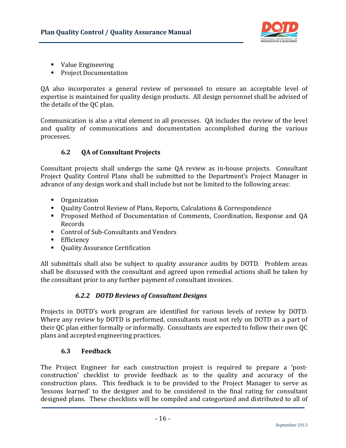

- Value Engineering
- **Project Documentation**

QA also incorporates a general review of personnel to ensure an acceptable level of expertise is maintained for quality design products. All design personnel shall be advised of the details of the QC plan.

Communication is also a vital element in all processes. QA includes the review of the level and quality of communications and documentation accomplished during the various processes.

# **6.2 QA of Consultant Projects**

<span id="page-15-0"></span>Consultant projects shall undergo the same QA review as in-house projects. Consultant Project Quality Control Plans shall be submitted to the Department's Project Manager in advance of any design work and shall include but not be limited to the following areas:

- **C**rganization
- Quality Control Review of Plans, Reports, Calculations & Correspondence
- **Proposed Method of Documentation of Comments, Coordination, Response and QA** Records
- Control of Sub-Consultants and Vendors
- **Efficiency**
- Quality Assurance Certification

All submittals shall also be subject to quality assurance audits by DOTD. Problem areas shall be discussed with the consultant and agreed upon remedial actions shall be taken by the consultant prior to any further payment of consultant invoices.

#### *6.2.2 DOTD Reviews of Consultant Designs*

<span id="page-15-1"></span>Projects in DOTD's work program are identified for various levels of review by DOTD. Where any review by DOTD is performed, consultants must not rely on DOTD as a part of their QC plan either formally or informally. Consultants are expected to follow their own QC plans and accepted engineering practices.

#### **6.3 Feedback**

<span id="page-15-2"></span>The Project Engineer for each construction project is required to prepare a 'postconstruction' checklist to provide feedback as to the quality and accuracy of the construction plans. This feedback is to be provided to the Project Manager to serve as 'lessons learned' to the designer and to be considered in the final rating for consultant designed plans. These checklists will be compiled and categorized and distributed to all of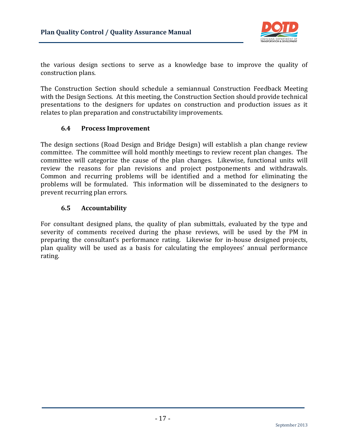

the various design sections to serve as a knowledge base to improve the quality of construction plans.

The Construction Section should schedule a semiannual Construction Feedback Meeting with the Design Sections. At this meeting, the Construction Section should provide technical presentations to the designers for updates on construction and production issues as it relates to plan preparation and constructability improvements.

#### **6.4 Process Improvement**

<span id="page-16-0"></span>The design sections (Road Design and Bridge Design) will establish a plan change review committee. The committee will hold monthly meetings to review recent plan changes. The committee will categorize the cause of the plan changes. Likewise, functional units will review the reasons for plan revisions and project postponements and withdrawals. Common and recurring problems will be identified and a method for eliminating the problems will be formulated. This information will be disseminated to the designers to prevent recurring plan errors.

#### **6.5 Accountability**

<span id="page-16-1"></span>For consultant designed plans, the quality of plan submittals, evaluated by the type and severity of comments received during the phase reviews, will be used by the PM in preparing the consultant's performance rating. Likewise for in-house designed projects, plan quality will be used as a basis for calculating the employees' annual performance rating.